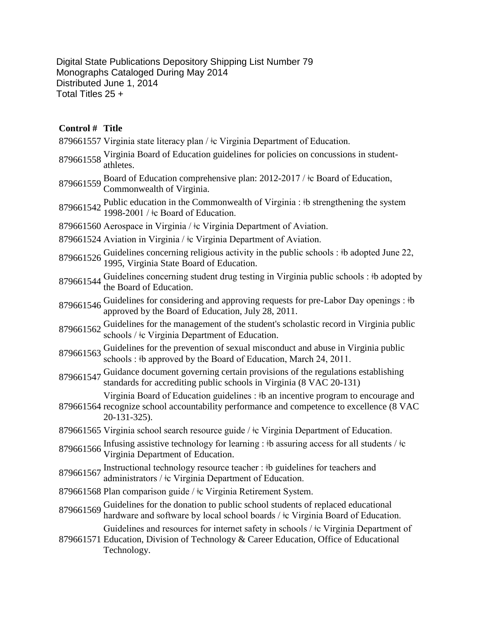Digital State Publications Depository Shipping List Number 79 Monographs Cataloged During May 2014 Distributed June 1, 2014 Total Titles 25 +

## **Control # Title**

- 879661557 Virginia state literacy plan /  $\pm$ c Virginia Department of Education.
- <sup>879661558</sup> Virginia Board of Education guidelines for policies on concussions in student-athletes.
- 879661559 Board of Education comprehensive plan: 2012-2017 / ‡c Board of Education, Commonwealth of Virginia.
- 879661542 Public education in the Commonwealth of Virginia : ‡b strengthening the system 1998-2001 / ‡c Board of Education.
- 879661560 Aerospace in Virginia /  $\pm c$  Virginia Department of Aviation.
- 879661524 Aviation in Virginia /  $\pm c$  Virginia Department of Aviation.
- 879661526 Guidelines concerning religious activity in the public schools : ‡b adopted June 22, 879661526 1995, Virginia State Board of Education.
- 879661544 Guidelines concerning student drug testing in Virginia public schools : ‡b adopted by the Board of Education.
- 879661546 Guidelines for considering and approving requests for pre-Labor Day openings : #b approved by the Board of Education, July 28, 2011.
- 879661562 Guidelines for the management of the student's scholastic record in Virginia public schools /  $\pm$  Virginia Department of Education.
- 879661563 Guidelines for the prevention of sexual misconduct and abuse in Virginia public schools :  $\dagger b$  approved by the Board of Education, March 24, 2011.
- <sup>879661547</sup> Guidance document governing certain provisions of the regulations establishing standards for accrediting public schools in Virginia (8 VAC 20-131)

Virginia Board of Education guidelines : ǂb an incentive program to encourage and

- 879661564 recognize school accountability performance and competence to excellence (8 VAC 20-131-325).
- 879661565 Virginia school search resource guide / ǂc Virginia Department of Education.
- 879661566 Infusing assistive technology for learning : ‡b assuring access for all students / ‡c Virginia Department of Education.
- 879661567 Instructional technology resource teacher : ‡b guidelines for teachers and administrators / ‡c Virginia Department of Education.
- 879661568 Plan comparison guide / ǂc Virginia Retirement System.
- <sup>879661569</sup> Guidelines for the donation to public school students of replaced educational hardware and software by local school boards /  $\pm$ c Virginia Board of Education.

Guidelines and resources for internet safety in schools / ǂc Virginia Department of

879661571 Education, Division of Technology & Career Education, Office of Educational Technology.